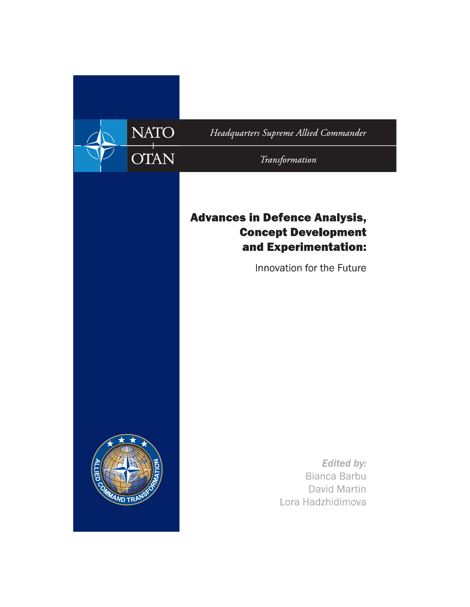

Headquarters Supreme Allied Commander

Transformation

## **Advances in Defence Analysis, Concept Development** and Experimentation:

Innovation for the Future



**Edited by: Bianca Barbu** David Martin Lora Hadzhidimova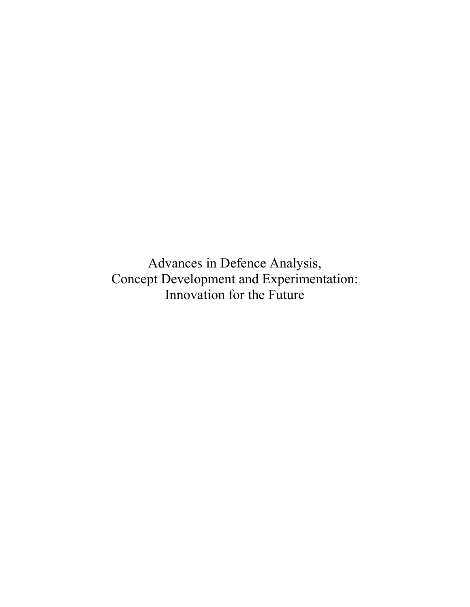Advances in Defence Analysis, Concept Development and Experimentation: Innovation for the Future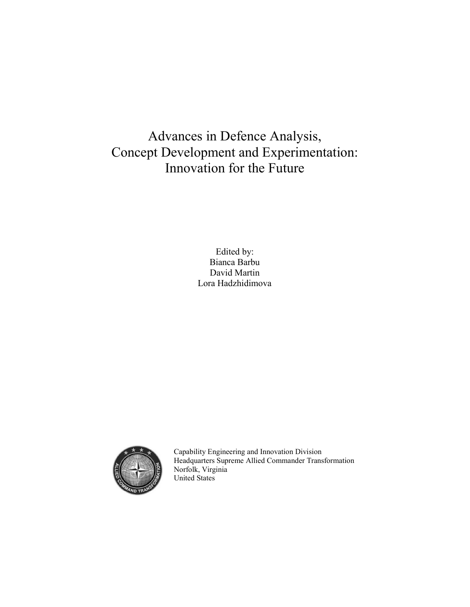## Advances in Defence Analysis, Concept Development and Experimentation: Innovation for the Future

Edited by: Bianca Barbu David Martin Lora Hadzhidimova



Capability Engineering and Innovation Division Headquarters Supreme Allied Commander Transformation Norfolk, Virginia United States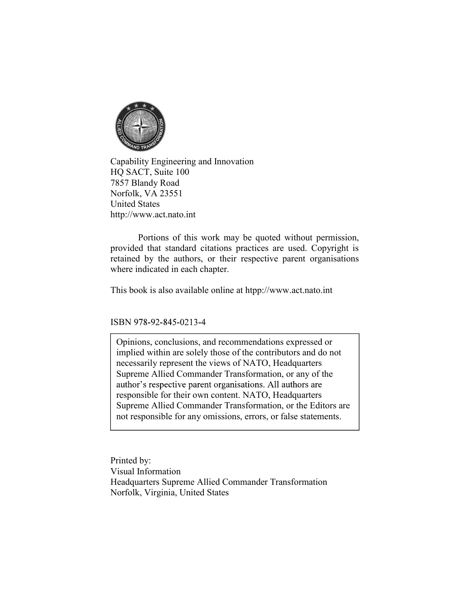

Capability Engineering and Innovation<br>Capability Engineering and Innovation<br>HQ SACT, Suite 100<br>Norfolk, VA 23551<br>United States (Complisity Engineering and Innovation<br>HQ SACT, Suite 100<br>HQ SACT, Suite 100<br>7857 Blandy Road<br>Norfolk, VA 23551<br>United States<br>http://www.act.nato.int 7857 Blandy Road Norfolk, VA 23551 United States http://www.act.nato.int

Portions of this work may be quoted without permission,<br>Portions of this work may be quoted without permission,<br>States<br>We act mate of this work may be quoted without permission,<br>the attended with permission,<br>the actions, o **Examplify Engineering and Innovation**<br> **Examplify Engineering and Innovation**<br> **HO SACT, Suite 100**<br> **Norfolk, VA 23551**<br>
United States<br>
United States<br> **Interpulsions of this work may be quoted without permission,**<br> **Port** Capability Engineering and Innovation<br>HQ SACT, Suite 100<br>7857 Blandy Road<br>Norfolk, VA 23551<br>United States<br>United States<br>United States<br>provided that standard eitations practices are used. Copyright is<br>provided that standard where indicated in each chapter.

This book is also available online at htpp://www.act.nato.int

ISBN 978-92-845-0213-4

Opinions, conclusions, and recommendations expressed or implied within are solely those of the contributors and do not necessarily represent the views of NATO, Headquarters Supreme Allied Commander Transformation, or any of the author's respective parent organisations. All authors are responsible for their own content. NATO, Headquarters Supreme Allied Commander Transformation, or the Editors are not responsible for any omissions, errors, or false statements.

Printed by: Visual Information Headquarters Supreme Allied Commander Transformation Norfolk, Virginia, United States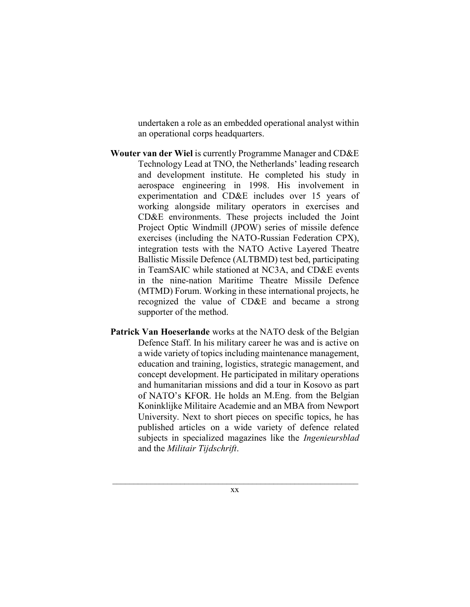undertaken a role as an embedded operational analyst within an operational corps headquarters.

- Wouter van der Wiel is currently Programme Manager and CD&E Technology Lead at TNO, the Netherlands' leading research and development institute. He completed his study in aerospace engineering in 1998. His involvement in experimentation and CD&E includes over 15 years of working alongside military operators in exercises and CD&E environments. These projects included the Joint Project Optic Windmill (JPOW) series of missile defence exercises (including the NATO-Russian Federation CPX), integration tests with the NATO Active Layered Theatre Ballistic Missile Defence (ALTBMD) test bed, participating in TeamSAIC while stationed at NC3A, and CD&E events in the nine-nation Maritime Theatre Missile Defence (MTMD) Forum. Working in these international projects, he recognized the value of CD&E and became a strong supporter of the method.
- Patrick Van Hoeserlande works at the NATO desk of the Belgian Defence Staff. In his military career he was and is active on a wide variety of topics including maintenance management, education and training, logistics, strategic management, and concept development. He participated in military operations and humanitarian missions and did a tour in Kosovo as part of NATO's KFOR. He holds an M.Eng. from the Belgian Koninklijke Militaire Academie and an MBA from Newport University. Next to short pieces on specific topics, he has published articles on a wide variety of defence related subjects in specialized magazines like the *Ingenieursblad* and the Militair Tijdschrift.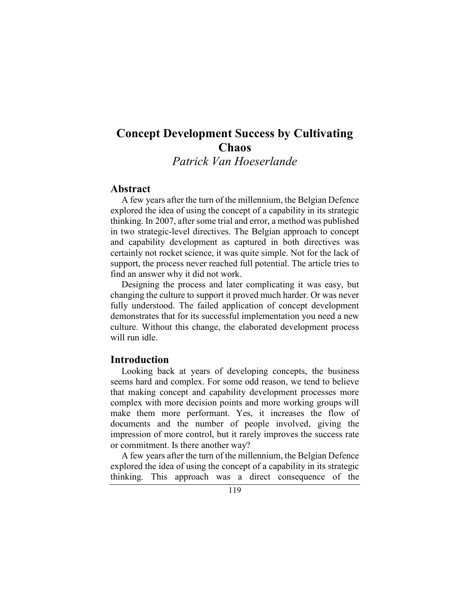# Concept Development Success by Cultivating **Chaos**

Patrick Van Hoeserlande

### Abstract

A few years after the turn of the millennium, the Belgian Defence explored the idea of using the concept of a capability in its strategic thinking. In 2007, after some trial and error, a method was published in two strategic-level directives. The Belgian approach to concept and capability development as captured in both directives was certainly not rocket science, it was quite simple. Not for the lack of support, the process never reached full potential. The article tries to find an answer why it did not work.

Designing the process and later complicating it was easy, but changing the culture to support it proved much harder. Or was never fully understood. The failed application of concept development demonstrates that for its successful implementation you need a new culture. Without this change, the elaborated development process will run idle.

## Introduction

Looking back at years of developing concepts, the business seems hard and complex. For some odd reason, we tend to believe that making concept and capability development processes more complex with more decision points and more working groups will make them more performant. Yes, it increases the flow of documents and the number of people involved, giving the impression of more control, but it rarely improves the success rate or commitment. Is there another way?

A few years after the turn of the millennium, the Belgian Defence explored the idea of using the concept of a capability in its strategic thinking. This approach was a direct consequence of the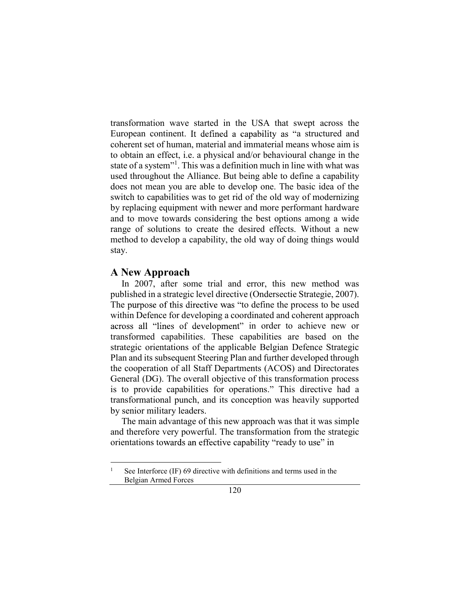transformation wave started in the USA that swept across the European continent. It defined a capability as "a structured and coherent set of human, material and immaterial means whose aim is to obtain an effect, i.e. a physical and/or behavioural change in the state of a system"<sup>1</sup>. This was a definition much in line with what was used throughout the Alliance. But being able to define a capability does not mean you are able to develop one. The basic idea of the switch to capabilities was to get rid of the old way of modernizing by replacing equipment with newer and more performant hardware and to move towards considering the best options among a wide range of solutions to create the desired effects. Without a new method to develop a capability, the old way of doing things would stay.

#### A New Approach

In 2007, after some trial and error, this new method was published in a strategic level directive (Ondersectie Strategie, 2007). The purpose of this directive was "to define the process to be used within Defence for developing a coordinated and coherent approach across all "lines of development" in order to achieve new or transformed capabilities. These capabilities are based on the strategic orientations of the applicable Belgian Defence Strategic Plan and its subsequent Steering Plan and further developed through the cooperation of all Staff Departments (ACOS) and Directorates General (DG). The overall objective of this transformation process is to provide capabilities for operations." This directive had a transformational punch, and its conception was heavily supported by senior military leaders.

The main advantage of this new approach was that it was simple and therefore very powerful. The transformation from the strategic orientations towards an effective capability "ready to use" in

See Interforce (IF) 69 directive with definitions and terms used in the Belgian Armed Forces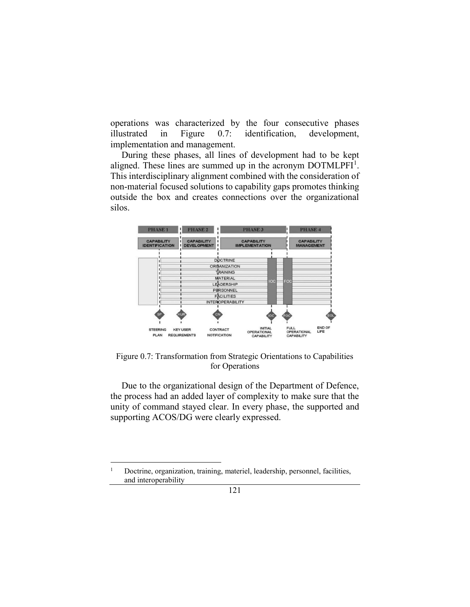operations was characterized by the four consecutive phases illustrated in Figure 0.7: identification, development, implementation and management.

During these phases, all lines of development had to be kept aligned. These lines are summed up in the acronym  $DOTMLPFI<sup>1</sup>$ . . This interdisciplinary alignment combined with the consideration of non-material focused solutions to capability gaps promotes thinking outside the box and creates connections over the organizational silos.



Figure 0.7: Transformation from Strategic Orientations to Capabilities for Operations

Due to the organizational design of the Department of Defence, the process had an added layer of complexity to make sure that the unity of command stayed clear. In every phase, the supported and supporting ACOS/DG were clearly expressed.

 <sup>1</sup> Doctrine, organization, training, materiel, leadership, personnel, facilities, and interoperability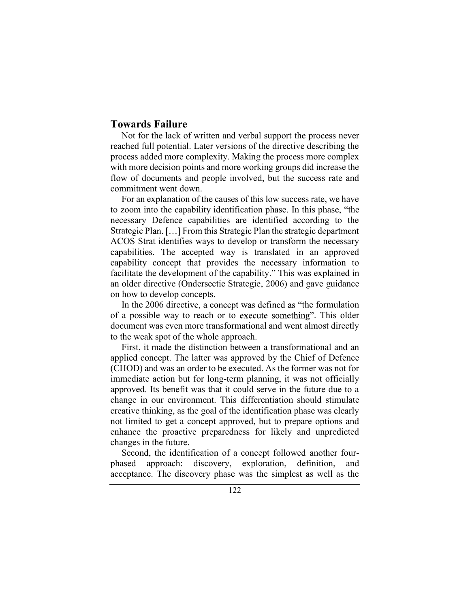## Towards Failure

Not for the lack of written and verbal support the process never reached full potential. Later versions of the directive describing the process added more complexity. Making the process more complex with more decision points and more working groups did increase the flow of documents and people involved, but the success rate and commitment went down.

For an explanation of the causes of this low success rate, we have to zoom into the capability identification phase. In this phase, "the necessary Defence capabilities are identified according to the Strategic Plan. [...] From this Strategic Plan the strategic department ACOS Strat identifies ways to develop or transform the necessary capabilities. The accepted way is translated in an approved capability concept that provides the necessary information to facilitate the development of the capability." This was explained in an older directive (Ondersectie Strategie, 2006) and gave guidance on how to develop concepts.

In the 2006 directive, a concept was defined as "the formulation of a possible way to reach or to execute something". This older document was even more transformational and went almost directly to the weak spot of the whole approach.

First, it made the distinction between a transformational and an applied concept. The latter was approved by the Chief of Defence (CHOD) and was an order to be executed. As the former was not for immediate action but for long-term planning, it was not officially approved. Its benefit was that it could serve in the future due to a change in our environment. This differentiation should stimulate creative thinking, as the goal of the identification phase was clearly not limited to get a concept approved, but to prepare options and enhance the proactive preparedness for likely and unpredicted changes in the future.

Second, the identification of a concept followed another fourphased approach: discovery, exploration, definition, and acceptance. The discovery phase was the simplest as well as the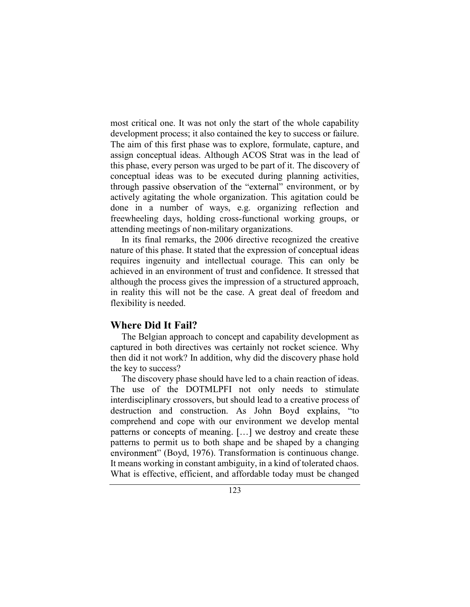most critical one. It was not only the start of the whole capability development process; it also contained the key to success or failure. The aim of this first phase was to explore, formulate, capture, and assign conceptual ideas. Although ACOS Strat was in the lead of this phase, every person was urged to be part of it. The discovery of conceptual ideas was to be executed during planning activities, through passive observation of the "external" environment, or by actively agitating the whole organization. This agitation could be done in a number of ways, e.g. organizing reflection and freewheeling days, holding cross-functional working groups, or attending meetings of non-military organizations.

In its final remarks, the 2006 directive recognized the creative nature of this phase. It stated that the expression of conceptual ideas requires ingenuity and intellectual courage. This can only be achieved in an environment of trust and confidence. It stressed that although the process gives the impression of a structured approach, in reality this will not be the case. A great deal of freedom and flexibility is needed.

## Where Did It Fail?

The Belgian approach to concept and capability development as captured in both directives was certainly not rocket science. Why then did it not work? In addition, why did the discovery phase hold the key to success?

The discovery phase should have led to a chain reaction of ideas. The use of the DOTMLPFI not only needs to stimulate interdisciplinary crossovers, but should lead to a creative process of destruction and construction. As John Boyd explains, "to comprehend and cope with our environment we develop mental patterns or concepts of meaning. [...] we destroy and create these patterns to permit us to both shape and be shaped by a changing environment" (Boyd, 1976). Transformation is continuous change. It means working in constant ambiguity, in a kind of tolerated chaos. What is effective, efficient, and affordable today must be changed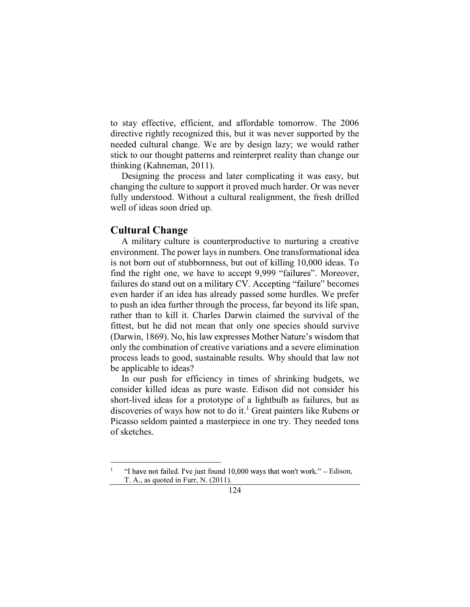to stay effective, efficient, and affordable tomorrow. The 2006 directive rightly recognized this, but it was never supported by the needed cultural change. We are by design lazy; we would rather stick to our thought patterns and reinterpret reality than change our thinking (Kahneman, 2011).

Designing the process and later complicating it was easy, but changing the culture to support it proved much harder. Or was never fully understood. Without a cultural realignment, the fresh drilled well of ideas soon dried up.

#### Cultural Change

A military culture is counterproductive to nurturing a creative environment. The power lays in numbers. One transformational idea is not born out of stubbornness, but out of killing 10,000 ideas. To find the right one, we have to accept 9,999 "failures". Moreover, failures do stand out on a military CV. Accepting "failure" becomes even harder if an idea has already passed some hurdles. We prefer to push an idea further through the process, far beyond its life span, rather than to kill it. Charles Darwin claimed the survival of the fittest, but he did not mean that only one species should survive (Darwin, 1869). No, his law expresses Mother Nature's wisdom that only the combination of creative variations and a severe elimination process leads to good, sustainable results. Why should that law not be applicable to ideas?

In our push for efficiency in times of shrinking budgets, we consider killed ideas as pure waste. Edison did not consider his short-lived ideas for a prototype of a lightbulb as failures, but as discoveries of ways how not to do it.<sup>1</sup> Great painters like Rubens or Picasso seldom painted a masterpiece in one try. They needed tons of sketches.

 $\frac{1}{1}$  "I have not failed. I've just found 10,000 ways that won't work." – Edison, T. A., as quoted in Furr, N. (2011).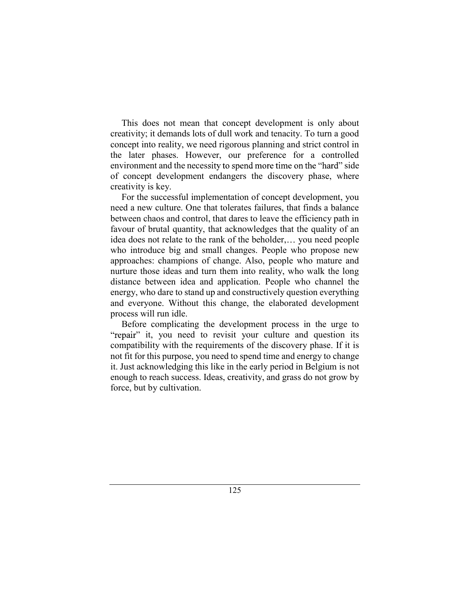This does not mean that concept development is only about creativity; it demands lots of dull work and tenacity. To turn a good concept into reality, we need rigorous planning and strict control in the later phases. However, our preference for a controlled environment and the necessity to spend more time on the "hard" side of concept development endangers the discovery phase, where creativity is key.

For the successful implementation of concept development, you need a new culture. One that tolerates failures, that finds a balance between chaos and control, that dares to leave the efficiency path in favour of brutal quantity, that acknowledges that the quality of an idea does not relate to the rank of the beholder,... you need people who introduce big and small changes. People who propose new approaches: champions of change. Also, people who mature and nurture those ideas and turn them into reality, who walk the long distance between idea and application. People who channel the energy, who dare to stand up and constructively question everything and everyone. Without this change, the elaborated development process will run idle.

Before complicating the development process in the urge to "repair" it, you need to revisit your culture and question its compatibility with the requirements of the discovery phase. If it is not fit for this purpose, you need to spend time and energy to change it. Just acknowledging this like in the early period in Belgium is not enough to reach success. Ideas, creativity, and grass do not grow by force, but by cultivation.